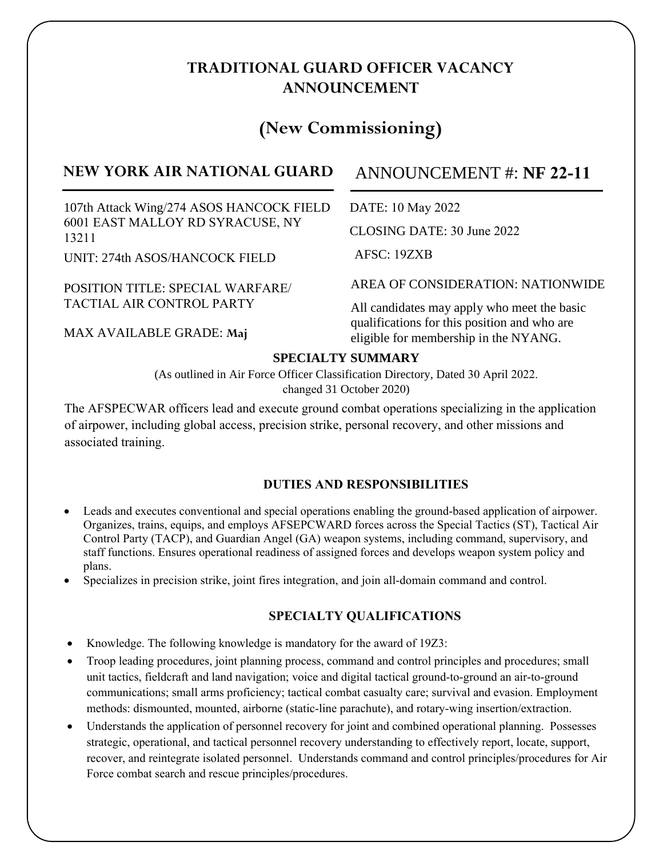## **TRADITIONAL GUARD OFFICER VACANCY ANNOUNCEMENT**

# **(New Commissioning)**

## **NEW YORK AIR NATIONAL GUARD**

107th Attack Wing/274 ASOS HANCOCK FIELD 6001 EAST MALLOY RD SYRACUSE, NY 13211

UNIT: 274th ASOS/HANCOCK FIELD

POSITION TITLE: SPECIAL WARFARE/ TACTIAL AIR CONTROL PARTY

MAX AVAILABLE GRADE: **Maj**

## ANNOUNCEMENT #: **NF**

DATE: 10 May 2022

CLOSING DATE: 30 June 2022

AFSC: 19ZXB

AREA OF CONSIDERATION: NATIONWIDE

All candidates may apply who meet the basic qualifications for this position and who are eligible for membership in the NYANG.

### **SPECIALTY SUMMARY**

(As outlined in Air Force Officer Classification Directory, Dated 30 April 2022. changed 31 October 2020)

The AFSPECWAR officers lead and execute ground combat operations specializing in the application of airpower, including global access, precision strike, personal recovery, and other missions and associated training.

### DUTIES AND RESPONSIBILITIES

- Leads and executes conventional and special operations enabling the ground-based application of airpower. Organizes, trains, equips, and employs AFSEPCWARD forces across the Special Tactics (ST), Tactical Air Control Party (TACP), and Guardian Angel (GA) weapon systems, including command, supervisory, and staff functions. Ensures operational readiness of assigned forces and develops weapon system policy and plans.
- Specializes in precision strike, joint fires integration, and join all-domain command and control.

### SPECIALTY OUALIFICATIONS

- Knowledge. The following knowledge is mandatory for the award of 19Z3:
- Troop leading procedures, joint planning process, command and control principles and procedures; small unit tactics, fieldcraft and land navigation; voice and digital tactical ground-to-ground an air-to-ground communications; small arms proficiency; tactical combat casualty care; survival and evasion. Employment methods: dismounted, mounted, airborne (static-line parachute), and rotary-wing insertion/extraction.
- Understands the application of personnel recovery for joint and combined operational planning. Possesses strategic, operational, and tactical personnel recovery understanding to effectively report, locate, support, recover, and reintegrate isolated personnel. Understands command and control principles/procedures for Air Force combat search and rescue principles/procedures.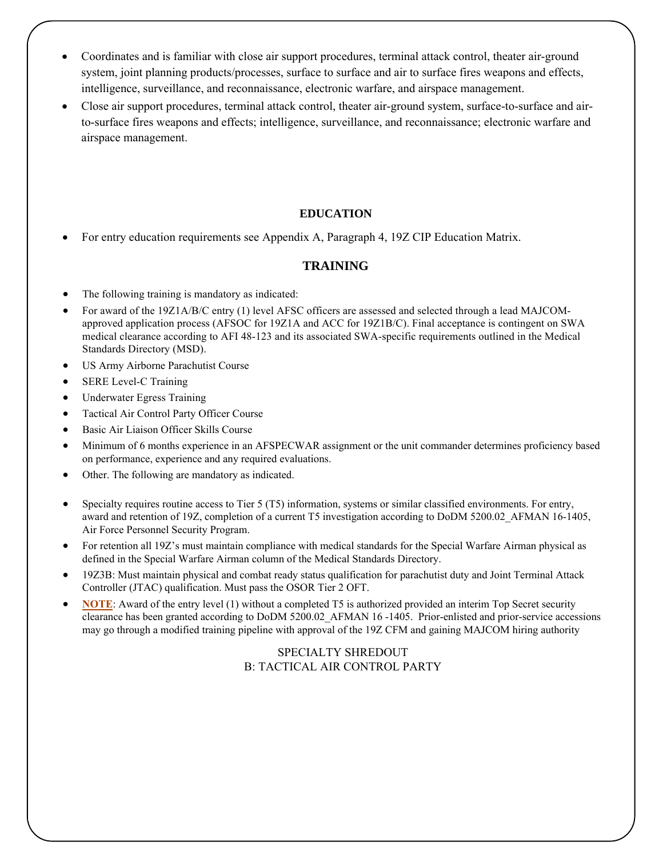- Coordinates and is familiar with close air support procedures, terminal attack control, theater air-ground system, joint planning products/processes, surface to surface and air to surface fires weapons and effects, intelligence, surveillance, and reconnaissance, electronic warfare, and airspace management.
- Close air support procedures, terminal attack control, theater air-ground system, surface-to-surface and airto-surface fires weapons and effects; intelligence, surveillance, and reconnaissance; electronic warfare and airspace management.

#### **EDUCATION**

• For entry education requirements see Appendix A, Paragraph 4, 19Z CIP Education Matrix.

#### **TRAINING**

- The following training is mandatory as indicated:
- For award of the 19Z1A/B/C entry (1) level AFSC officers are assessed and selected through a lead MAJCOMapproved application process (AFSOC for 19Z1A and ACC for 19Z1B/C). Final acceptance is contingent on SWA medical clearance according to AFI 4 -123 and its associated SWA-specific requirements outlined in the Medical Standards Directory (MSD).
- US Army Airborne Parachutist Course
- SERE Level-C Training
- Underwater Egress Training
- Tactical Air Control Party Officer Course
- Basic Air Liaison Officer Skills Course
- Minimum of 6 months experience in an AFSPECWAR assignment or the unit commander determines proficiency based on performance, experience and any required evaluations.
- Other. The following are mandatory as indicated.
- Specialty requires routine access to Tier 5 (T5) information, systems or similar classified environments. For entry, award and retention of 19Z, completion of a current T5 investigation according to DoDM 5200.02\_AFMAN 16-1405, Air Force Personnel Security Program.
- For retention all 19Z's must maintain compliance with medical standards for the Special Warfare Airman physical as defined in the Special Warfare Airman column of the Medical Standards Directory.
- 19Z3B: Must maintain physical and combat ready status qualification for parachutist duty and Joint Terminal Attack Controller (JTAC) qualification. Must pass the OSOR Tier 2 OFT.
- **NOTE**: Award of the entry level (1) without a completed T5 is authorized provided an interim Top Secret security clearance has been granted according to DoDM 5200.02\_AFMAN 16 -1405. Prior-enlisted and prior-service accessions may go through a modified training pipeline with approval of the 19Z CFM and gaining MAJCOM hiring authority

#### SPECIALTY SHREDOUT B: TACTICAL AIR CONTROL PARTY